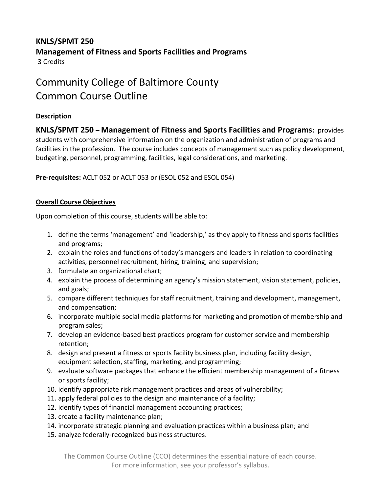## **KNLS/SPMT 250 Management of Fitness and Sports Facilities and Programs** 3 Credits

# Community College of Baltimore County Common Course Outline

## **Description**

**KNLS/SPMT 250 – Management of Fitness and Sports Facilities and Programs:** provides students with comprehensive information on the organization and administration of programs and facilities in the profession. The course includes concepts of management such as policy development, budgeting, personnel, programming, facilities, legal considerations, and marketing.

**Pre-requisites:** ACLT 052 or ACLT 053 or (ESOL 052 and ESOL 054)

### **Overall Course Objectives**

Upon completion of this course, students will be able to:

- 1. define the terms 'management' and 'leadership,' as they apply to fitness and sports facilities and programs;
- 2. explain the roles and functions of today's managers and leaders in relation to coordinating activities, personnel recruitment, hiring, training, and supervision;
- 3. formulate an organizational chart;
- 4. explain the process of determining an agency's mission statement, vision statement, policies, and goals;
- 5. compare different techniques for staff recruitment, training and development, management, and compensation;
- 6. incorporate multiple social media platforms for marketing and promotion of membership and program sales;
- 7. develop an evidence-based best practices program for customer service and membership retention;
- 8. design and present a fitness or sports facility business plan, including facility design, equipment selection, staffing, marketing, and programming;
- 9. evaluate software packages that enhance the efficient membership management of a fitness or sports facility;
- 10. identify appropriate risk management practices and areas of vulnerability;
- 11. apply federal policies to the design and maintenance of a facility;
- 12. identify types of financial management accounting practices;
- 13. create a facility maintenance plan;
- 14. incorporate strategic planning and evaluation practices within a business plan; and
- 15. analyze federally-recognized business structures.